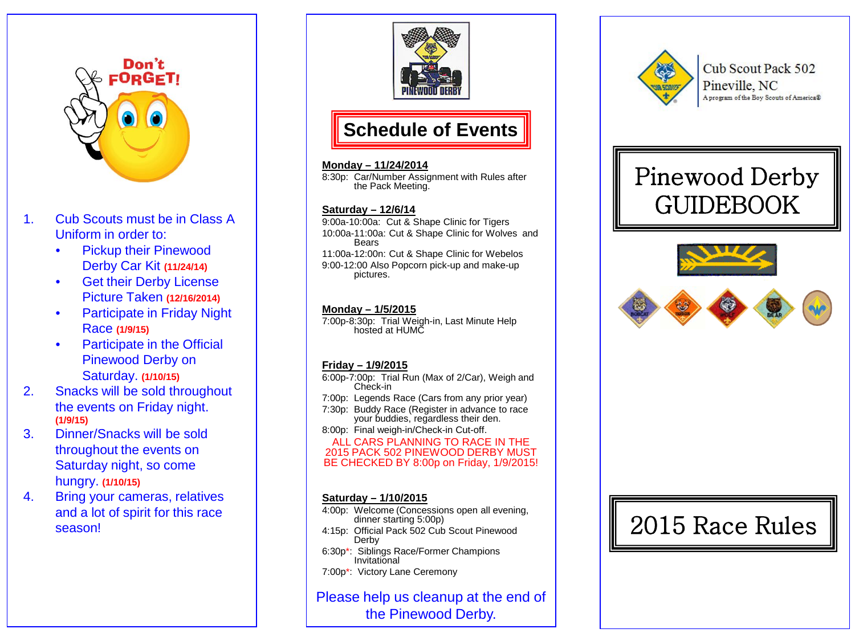

- 1. Cub Scouts must be in Class A Uniform in order to:
	- Pickup their Pinewood Derby Car Kit **(11/24/14)**
	- **Get their Derby License** Picture Taken **(12/16/2014)**
	- Participate in Friday Night Race **(1/9/15)**
	- Participate in the Official Pinewood Derby on Saturday. **(1/10/15)**
- 2. Snacks will be sold throughout the events on Friday night. **(1/9/15)**
- 3. Dinner/Snacks will be sold throughout the events on Saturday night, so come hungry. **(1/10/15)**
- 4. Bring your cameras, relatives and a lot of spirit for this race





#### **Monday – 11/24/2014**

8:30p: Car/Number Assignment with Rules after the Pack Meeting.

#### **Saturday – 12/6/14**

9:00a -10:00a: Cut & Shape Clinic for Tigers 10:00a -11:00a: Cut & Shape Clinic for Wolves and Bears 11:00a -12:00n: Cut & Shape Clinic for Webelos 9:00 -12:00 Also Popcorn pick -up and make -up pictures.

### **Monday – 1/5/2015**

7:00p -8:30p: Trial Weigh -in, Last Minute Help hosted at HUMC

### **Friday – 1/9/2015**

6:00p -7:00p: Trial Run (Max of 2/Car), Weigh and Check -in

- 7:00p: Legends Race (Cars from any prior year) 7:30p: Buddy Race (Register in advance to race
- your buddies, regardless their den.

8:00p: Final weigh -in/Check -in Cut -off.

#### ALL CARS PLANNING TO RACE IN THE 2015 PACK 502 PINEWOOD DERBY MUST BE CHECKED BY 8:00p on Friday, 1/9/2015!

### **Saturday – 1/10/2015**

- 4:00p: Welcome (Concessions open all evening, dinner starting 5:00p)
- 4:15p: Official Pack 502 Cub Scout Pinewood Derby
- 6:30p \*: Siblings Race/Former Champions Invitational
- 7:00p \*: Victory Lane Ceremony

Please help us cleanup at the end of the Pinewood Derby.



Cub Scout Pack 502 Pineville, NC A program of the Boy Scouts of America®

# Pinewood Derby GUIDEBOOK



# season! Spink for dins race  $\vert$  at the dinner starting 5:00p)  $\vert$   $\vert$  2015 Race Rules